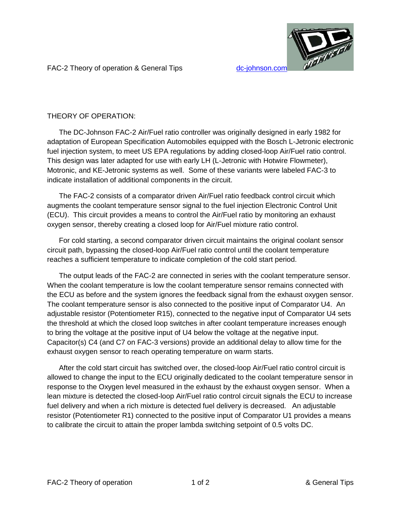

FAC-2 Theory of operation & General Tips dc-johnson.com

# THEORY OF OPERATION:

The DC-Johnson FAC-2 Air/Fuel ratio controller was originally designed in early 1982 for adaptation of European Specification Automobiles equipped with the Bosch L-Jetronic electronic fuel injection system, to meet US EPA regulations by adding closed-loop Air/Fuel ratio control. This design was later adapted for use with early LH (L-Jetronic with Hotwire Flowmeter), Motronic, and KE-Jetronic systems as well. Some of these variants were labeled FAC-3 to indicate installation of additional components in the circuit.

The FAC-2 consists of a comparator driven Air/Fuel ratio feedback control circuit which augments the coolant temperature sensor signal to the fuel injection Electronic Control Unit (ECU). This circuit provides a means to control the Air/Fuel ratio by monitoring an exhaust oxygen sensor, thereby creating a closed loop for Air/Fuel mixture ratio control.

For cold starting, a second comparator driven circuit maintains the original coolant sensor circuit path, bypassing the closed-loop Air/Fuel ratio control until the coolant temperature reaches a sufficient temperature to indicate completion of the cold start period.

The output leads of the FAC-2 are connected in series with the coolant temperature sensor. When the coolant temperature is low the coolant temperature sensor remains connected with the ECU as before and the system ignores the feedback signal from the exhaust oxygen sensor. The coolant temperature sensor is also connected to the positive input of Comparator U4. An adjustable resistor (Potentiometer R15), connected to the negative input of Comparator U4 sets the threshold at which the closed loop switches in after coolant temperature increases enough to bring the voltage at the positive input of U4 below the voltage at the negative input. Capacitor(s) C4 (and C7 on FAC-3 versions) provide an additional delay to allow time for the exhaust oxygen sensor to reach operating temperature on warm starts.

After the cold start circuit has switched over, the closed-loop Air/Fuel ratio control circuit is allowed to change the input to the ECU originally dedicated to the coolant temperature sensor in response to the Oxygen level measured in the exhaust by the exhaust oxygen sensor. When a lean mixture is detected the closed-loop Air/Fuel ratio control circuit signals the ECU to increase fuel delivery and when a rich mixture is detected fuel delivery is decreased. An adjustable resistor (Potentiometer R1) connected to the positive input of Comparator U1 provides a means to calibrate the circuit to attain the proper lambda switching setpoint of 0.5 volts DC.